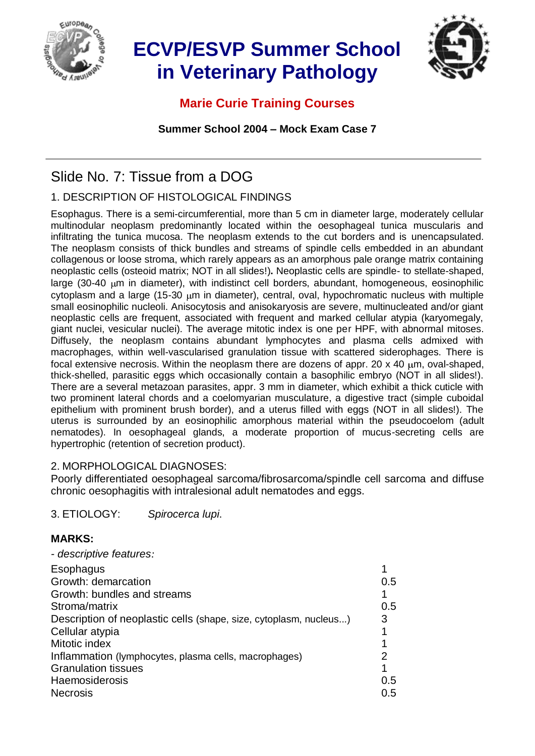

# **ECVP/ESVP Summer School in Veterinary Pathology**



## **Marie Curie Training Courses**

**Summer School 2004 – Mock Exam Case 7**

# Slide No. 7: Tissue from a DOG

### 1. DESCRIPTION OF HISTOLOGICAL FINDINGS

Esophagus. There is a semi-circumferential, more than 5 cm in diameter large, moderately cellular multinodular neoplasm predominantly located within the oesophageal tunica muscularis and infiltrating the tunica mucosa. The neoplasm extends to the cut borders and is unencapsulated. The neoplasm consists of thick bundles and streams of spindle cells embedded in an abundant collagenous or loose stroma, which rarely appears as an amorphous pale orange matrix containing neoplastic cells (osteoid matrix; NOT in all slides!)**.** Neoplastic cells are spindle- to stellate-shaped, large (30-40  $\mu$ m in diameter), with indistinct cell borders, abundant, homogeneous, eosinophilic  $cv$ toplasm and a large (15-30  $\mu$ m in diameter), central, oval, hypochromatic nucleus with multiple small eosinophilic nucleoli. Anisocytosis and anisokaryosis are severe, multinucleated and/or giant neoplastic cells are frequent, associated with frequent and marked cellular atypia (karyomegaly, giant nuclei, vesicular nuclei). The average mitotic index is one per HPF, with abnormal mitoses. Diffusely, the neoplasm contains abundant lymphocytes and plasma cells admixed with macrophages, within well-vascularised granulation tissue with scattered siderophages. There is focal extensive necrosis. Within the neoplasm there are dozens of appr. 20  $\times$  40  $\mu$ m, oval-shaped, thick-shelled, parasitic eggs which occasionally contain a basophilic embryo (NOT in all slides!). There are a several metazoan parasites, appr. 3 mm in diameter, which exhibit a thick cuticle with two prominent lateral chords and a coelomyarian musculature, a digestive tract (simple cuboidal epithelium with prominent brush border), and a uterus filled with eggs (NOT in all slides!). The uterus is surrounded by an eosinophilic amorphous material within the pseudocoelom (adult nematodes). In oesophageal glands, a moderate proportion of mucus-secreting cells are hypertrophic (retention of secretion product).

#### 2. MORPHOLOGICAL DIAGNOSES:

Poorly differentiated oesophageal sarcoma/fibrosarcoma/spindle cell sarcoma and diffuse chronic oesophagitis with intralesional adult nematodes and eggs.

3. ETIOLOGY: *Spirocerca lupi*.

#### **MARKS:**

| - descriptive features:                                           |     |
|-------------------------------------------------------------------|-----|
| Esophagus                                                         |     |
| Growth: demarcation                                               | 0.5 |
| Growth: bundles and streams                                       |     |
| Stroma/matrix                                                     | 0.5 |
| Description of neoplastic cells (shape, size, cytoplasm, nucleus) | 3   |
| Cellular atypia                                                   |     |
| Mitotic index                                                     |     |
| Inflammation (lymphocytes, plasma cells, macrophages)             | 2   |
| <b>Granulation tissues</b>                                        |     |
| <b>Haemosiderosis</b>                                             | 0.5 |
| <b>Necrosis</b>                                                   | 0.5 |